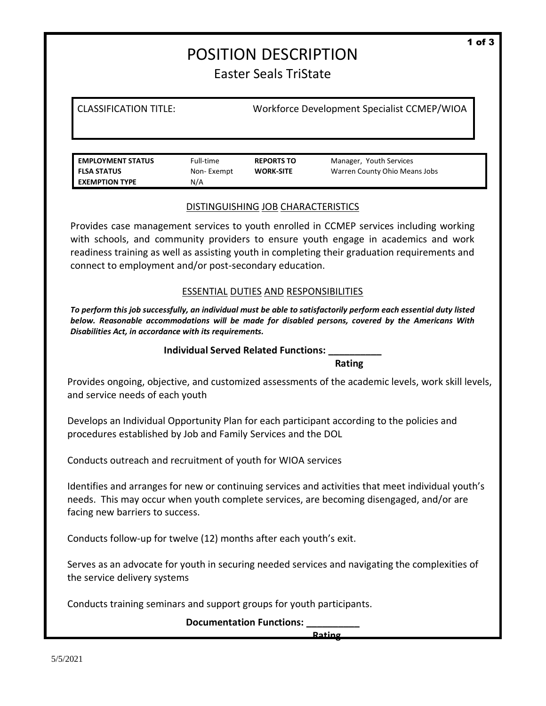# POSITION DESCRIPTION Easter Seals TriState

CLASSIFICATION TITLE: Workforce Development Specialist CCMEP/WIOA

**EMPLOYMENT STATUS** Full-time **REPORTS TO** Manager, Youth Services **FLSA STATUS** Non- Exempt **WORK-SITE** Warren County Ohio Means Jobs **EXEMPTION TYPE** N/A

#### DISTINGUISHING JOB CHARACTERISTICS

Provides case management services to youth enrolled in CCMEP services including working with schools, and community providers to ensure youth engage in academics and work readiness training as well as assisting youth in completing their graduation requirements and connect to employment and/or post-secondary education.

## ESSENTIAL DUTIES AND RESPONSIBILITIES

*To perform this job successfully, an individual must be able to satisfactorily perform each essential duty listed below. Reasonable accommodations will be made for disabled persons, covered by the Americans With Disabilities Act, in accordance with its requirements.*

#### **Individual Served Related Functions: \_\_\_\_\_\_\_\_\_\_**

 **Rating**

Provides ongoing, objective, and customized assessments of the academic levels, work skill levels, and service needs of each youth

Develops an Individual Opportunity Plan for each participant according to the policies and procedures established by Job and Family Services and the DOL

Conducts outreach and recruitment of youth for WIOA services

Identifies and arranges for new or continuing services and activities that meet individual youth's needs. This may occur when youth complete services, are becoming disengaged, and/or are facing new barriers to success.

Conducts follow-up for twelve (12) months after each youth's exit.

Serves as an advocate for youth in securing needed services and navigating the complexities of the service delivery systems

Conducts training seminars and support groups for youth participants.

**Documentation Functions: \_\_\_\_\_\_\_\_\_\_**

**Rating Rating**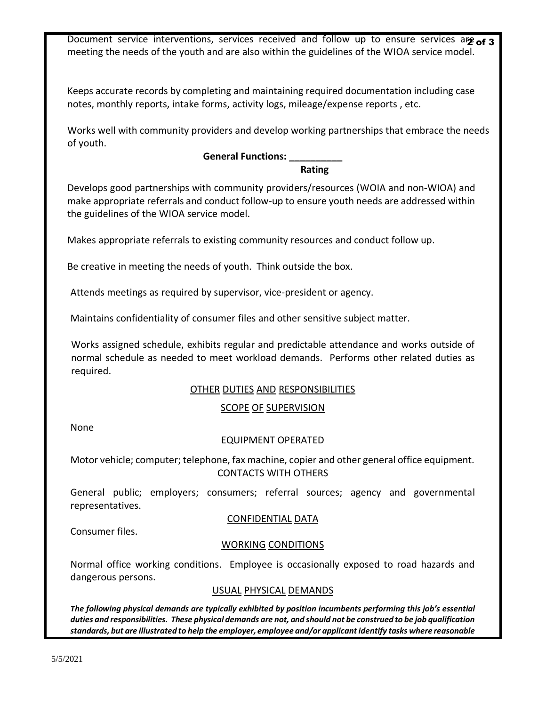Document service interventions, services received and follow up to ensure services are of 3 meeting the needs of the youth and are also within the guidelines of the WIOA service model.

Keeps accurate records by completing and maintaining required documentation including case notes, monthly reports, intake forms, activity logs, mileage/expense reports , etc.

Works well with community providers and develop working partnerships that embrace the needs of youth.

## **General Functions: \_\_\_\_\_\_\_\_\_\_**

#### *Rating Rating Rating*

Develops good partnerships with community providers/resources (WOIA and non-WIOA) and make appropriate referrals and conduct follow-up to ensure youth needs are addressed within the guidelines of the WIOA service model.

Makes appropriate referrals to existing community resources and conduct follow up.

Be creative in meeting the needs of youth. Think outside the box.

Attends meetings as required by supervisor, vice-president or agency.

Maintains confidentiality of consumer files and other sensitive subject matter.

Works assigned schedule, exhibits regular and predictable attendance and works outside of normal schedule as needed to meet workload demands. Performs other related duties as required.

## OTHER DUTIES AND RESPONSIBILITIES

## SCOPE OF SUPERVISION

None

## EQUIPMENT OPERATED

Motor vehicle; computer; telephone, fax machine, copier and other general office equipment. CONTACTS WITH OTHERS

General public; employers; consumers; referral sources; agency and governmental representatives.

## CONFIDENTIAL DATA

Consumer files.

## WORKING CONDITIONS

Normal office working conditions. Employee is occasionally exposed to road hazards and dangerous persons.

## USUAL PHYSICAL DEMANDS

*The following physical demands are typically exhibited by position incumbents performing this job's essential duties and responsibilities. These physical demands are not, and should not be construed to be job qualification standards, but are illustrated to help the employer, employee and/or applicant identify tasks where reasonable*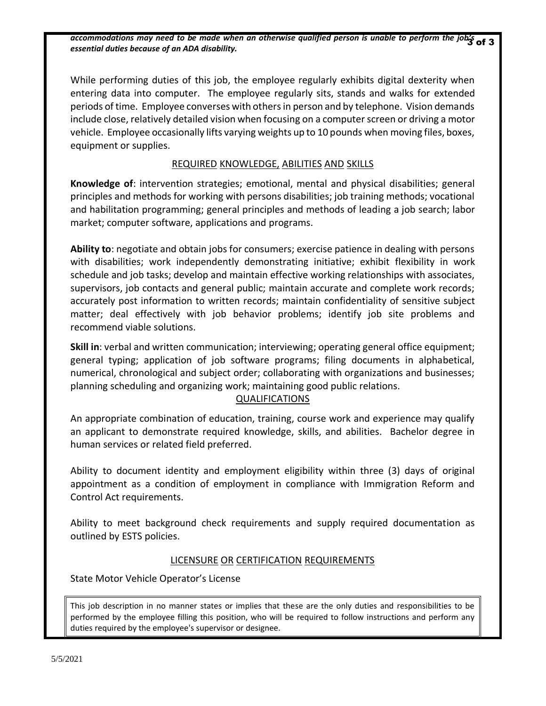accommodations may need to be made when an otherwise qualified person is unable to perform the job's of 3<br>at a state of the state of the state of the state of the state of the state of the state of the state of the s *essential duties because of an ADA disability.*

While performing duties of this job, the employee regularly exhibits digital dexterity when entering data into computer. The employee regularly sits, stands and walks for extended periods of time. Employee converses with others in person and by telephone. Vision demands include close, relatively detailed vision when focusing on a computer screen or driving a motor vehicle. Employee occasionally lifts varying weights up to 10 pounds when moving files, boxes, equipment or supplies.

## REQUIRED KNOWLEDGE, ABILITIES AND SKILLS

**Knowledge of**: intervention strategies; emotional, mental and physical disabilities; general principles and methods for working with persons disabilities; job training methods; vocational and habilitation programming; general principles and methods of leading a job search; labor market; computer software, applications and programs.

**Ability to**: negotiate and obtain jobs for consumers; exercise patience in dealing with persons with disabilities; work independently demonstrating initiative; exhibit flexibility in work schedule and job tasks; develop and maintain effective working relationships with associates, supervisors, job contacts and general public; maintain accurate and complete work records; accurately post information to written records; maintain confidentiality of sensitive subject matter; deal effectively with job behavior problems; identify job site problems and recommend viable solutions.

**Skill in**: verbal and written communication; interviewing; operating general office equipment; general typing; application of job software programs; filing documents in alphabetical, numerical, chronological and subject order; collaborating with organizations and businesses; planning scheduling and organizing work; maintaining good public relations.

## QUALIFICATIONS

An appropriate combination of education, training, course work and experience may qualify an applicant to demonstrate required knowledge, skills, and abilities. Bachelor degree in human services or related field preferred.

Ability to document identity and employment eligibility within three (3) days of original appointment as a condition of employment in compliance with Immigration Reform and Control Act requirements.

Ability to meet background check requirements and supply required documentation as outlined by ESTS policies.

#### LICENSURE OR CERTIFICATION REQUIREMENTS

State Motor Vehicle Operator's License

This job description in no manner states or implies that these are the only duties and responsibilities to be performed by the employee filling this position, who will be required to follow instructions and perform any duties required by the employee's supervisor or designee.